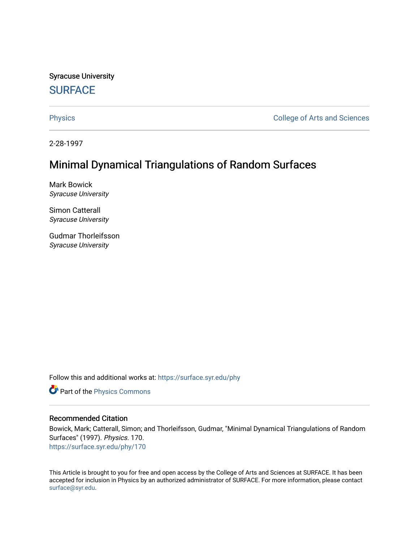Syracuse University **[SURFACE](https://surface.syr.edu/)** 

[Physics](https://surface.syr.edu/phy) **College of Arts and Sciences** 

2-28-1997

# Minimal Dynamical Triangulations of Random Surfaces

Mark Bowick Syracuse University

Simon Catterall Syracuse University

Gudmar Thorleifsson Syracuse University

Follow this and additional works at: [https://surface.syr.edu/phy](https://surface.syr.edu/phy?utm_source=surface.syr.edu%2Fphy%2F170&utm_medium=PDF&utm_campaign=PDFCoverPages)

Part of the [Physics Commons](http://network.bepress.com/hgg/discipline/193?utm_source=surface.syr.edu%2Fphy%2F170&utm_medium=PDF&utm_campaign=PDFCoverPages)

### Recommended Citation

Bowick, Mark; Catterall, Simon; and Thorleifsson, Gudmar, "Minimal Dynamical Triangulations of Random Surfaces" (1997). Physics. 170. [https://surface.syr.edu/phy/170](https://surface.syr.edu/phy/170?utm_source=surface.syr.edu%2Fphy%2F170&utm_medium=PDF&utm_campaign=PDFCoverPages)

This Article is brought to you for free and open access by the College of Arts and Sciences at SURFACE. It has been accepted for inclusion in Physics by an authorized administrator of SURFACE. For more information, please contact [surface@syr.edu.](mailto:surface@syr.edu)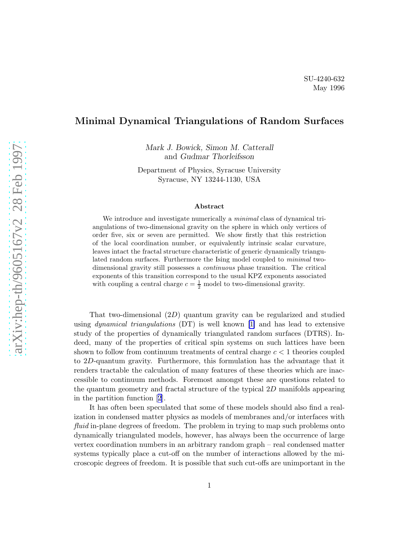## Minimal Dynamical Triangulations of Random Surfaces

Mark J. Bowick, Simon M. Catterall and Gudmar Thorleifsson

Department of Physics, Syracuse University Syracuse, NY 13244-1130, USA

#### Abstract

We introduce and investigate numerically a *minimal* class of dynamical triangulations of two-dimensional gravity on the sphere in which only vertices of order five, six or seven are permitted. We show firstly that this restriction of the local coordination number, or equivalently intrinsic scalar curvature, leaves intact the fractal structure characteristic of generic dynamically triangulated random surfaces. Furthermore the Ising model coupled to minimal twodimensional gravity still possesses a continuous phase transition. The critical exponents of this transition correspond to the usual KPZ exponents associated with coupling a central charge  $c = \frac{1}{2}$  model to two-dimensional gravity.

That two-dimensional (2D) quantum gravity can be regularized and studied using *dynamical triangulations* (DT) is well known [\[1\]](#page-8-0) and has lead to extensive study of the properties of dynamically triangulated random surfaces (DTRS). Indeed, many of the properties of critical spin systems on such lattices have been shown to follow from continuum treatments of central charge  $c < 1$  theories coupled to 2D-quantum gravity. Furthermore, this formulation has the advantage that it renders tractable the calculation of many features of these theories which are inaccessible to continuum methods. Foremost amongst these are questions related to the quantum geometry and fractal structure of the typical 2D manifolds appearing in the partition function[[2](#page-8-0)].

It has often been speculated that some of these models should also find a realization in condensed matter physics as models of membranes and/or interfaces with fluid in-plane degrees of freedom. The problem in trying to map such problems onto dynamically triangulated models, however, has always been the occurrence of large vertex coordination numbers in an arbitrary random graph – real condensed matter systems typically place a cut-off on the number of interactions allowed by the microscopic degrees of freedom. It is possible that such cut-offs are unimportant in the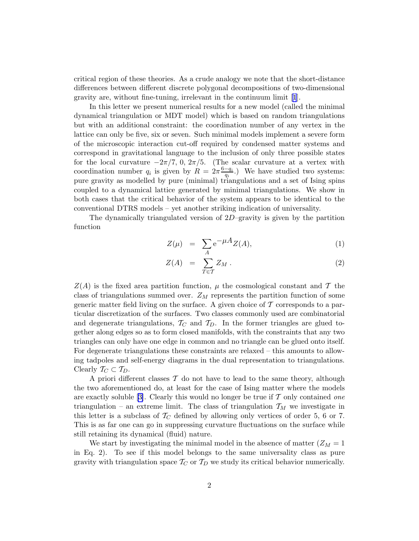critical region of these theories. As a crude analogy we note that the short-distance differences between different discrete polygonal decompositions of two-dimensional gravity are, without fine-tuning, irrelevant in the continuum limit [\[1](#page-8-0)].

In this letter we present numerical results for a new model (called the minimal dynamical triangulation or MDT model) which is based on random triangulations but with an additional constraint: the coordination number of any vertex in the lattice can only be five, six or seven. Such minimal models implement a severe form of the microscopic interaction cut-off required by condensed matter systems and correspond in gravitational language to the inclusion of only three possible states for the local curvature  $-2\pi/7$ , 0,  $2\pi/5$ . (The scalar curvature at a vertex with coordination number  $q_i$  is given by  $R = 2\pi \frac{6-q_i}{q_i}$  $\frac{-q_i}{q_i}$ .) We have studied two systems: pure gravity as modelled by pure (minimal) triangulations and a set of Ising spins coupled to a dynamical lattice generated by minimal triangulations. We show in both cases that the critical behavior of the system appears to be identical to the conventional DTRS models – yet another striking indication of universality.

The dynamically triangulated version of 2D–gravity is given by the partition function

$$
Z(\mu) = \sum_{A} e^{-\mu A} Z(A), \qquad (1)
$$

$$
Z(A) = \sum_{T \in \mathcal{T}} Z_M . \tag{2}
$$

 $Z(A)$  is the fixed area partition function,  $\mu$  the cosmological constant and T the class of triangulations summed over.  $Z_M$  represents the partition function of some generic matter field living on the surface. A given choice of  $\mathcal T$  corresponds to a particular discretization of the surfaces. Two classes commonly used are combinatorial and degenerate triangulations,  $T_C$  and  $T_D$ . In the former triangles are glued together along edges so as to form closed manifolds, with the constraints that any two triangles can only have one edge in common and no triangle can be glued onto itself. For degenerate triangulations these constraints are relaxed – this amounts to allowing tadpoles and self-energy diagrams in the dual representation to triangulations. Clearly  $\mathcal{T}_C \subset \mathcal{T}_D$ .

A priori different classes  $\mathcal T$  do not have to lead to the same theory, although the two aforementioned do, at least for the case of Ising matter where the models are exactly soluble [\[3\]](#page-8-0). Clearly this would no longer be true if  $\mathcal T$  only contained one triangulation – an extreme limit. The class of triangulation  $\mathcal{T}_M$  we investigate in this letter is a subclass of  $T_C$  defined by allowing only vertices of order 5, 6 or 7. This is as far one can go in suppressing curvature fluctuations on the surface while still retaining its dynamical (fluid) nature.

We start by investigating the minimal model in the absence of matter  $(Z_M = 1)$ in Eq. 2). To see if this model belongs to the same universality class as pure gravity with triangulation space  $\mathcal{T}_C$  or  $\mathcal{T}_D$  we study its critical behavior numerically.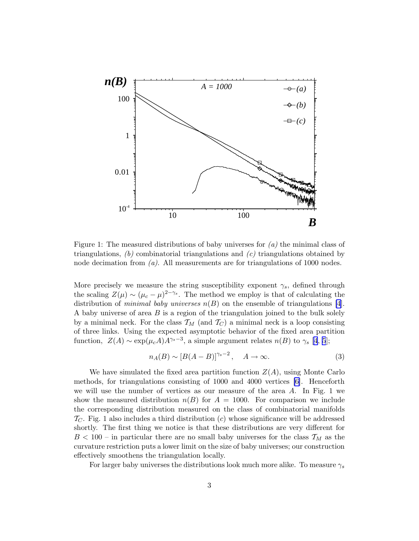

Figure 1: The measured distributions of baby universes for  $(a)$  the minimal class of triangulations,  $(b)$  combinatorial triangulations and  $(c)$  triangulations obtained by node decimation from  $(a)$ . All measurements are for triangulations of 1000 nodes.

More precisely we measure the string susceptibility exponent  $\gamma_s$ , defined through the scaling  $Z(\mu) \sim (\mu_c - \mu)^{2-\gamma_s}$ . The method we employ is that of calculating the distribution of *minimal baby universes*  $n(B)$  on the ensemble of triangulations [\[4\]](#page-8-0). A baby universe of area B is a region of the triangulation joined to the bulk solely by a minimal neck. For the class  $\mathcal{T}_M$  (and  $\mathcal{T}_C$ ) a minimal neck is a loop consisting of three links. Using the expected asymptotic behavior of the fixed area partition function,  $Z(A) \sim \exp(\mu_c A) A^{\gamma_s - 3}$ , a simple argument relates  $n(B)$  to  $\gamma_s$  [[4](#page-8-0), [5](#page-9-0)];

$$
n_A(B) \sim [B(A - B)]^{\gamma_s - 2}, \quad A \to \infty.
$$
 (3)

We have simulated the fixed area partition function  $Z(A)$ , using Monte Carlo methods, for triangulations consisting of 1000 and 4000 vertices [\[6\]](#page-9-0). Henceforth we will use the number of vertices as our measure of the area  $A$ . In Fig. 1 we show the measured distribution  $n(B)$  for  $A = 1000$ . For comparison we include the corresponding distribution measured on the class of combinatorial manifolds  $\mathcal{T}_C$ . Fig. 1 also includes a third distribution (c) whose significance will be addressed shortly. The first thing we notice is that these distributions are very different for  $B < 100$  – in particular there are no small baby universes for the class  $\mathcal{T}_M$  as the curvature restriction puts a lower limit on the size of baby universes; our construction effectively smoothens the triangulation locally.

For larger baby universes the distributions look much more alike. To measure  $\gamma_s$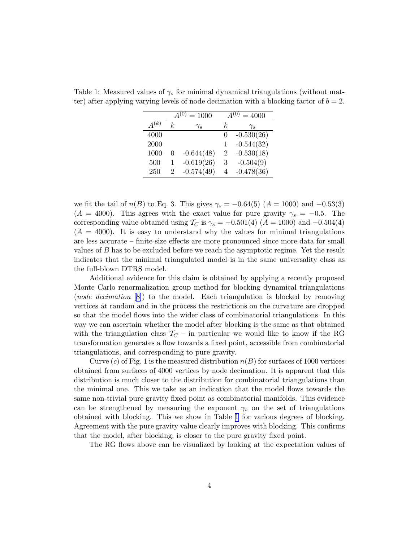|           | $=1000$ |              | $=4000$      |              |
|-----------|---------|--------------|--------------|--------------|
| $A^{(k)}$ | k.      | $\gamma_s$   | k,           | $\gamma_s$   |
| 4000      |         |              | $\mathbf{0}$ | $-0.530(26)$ |
| 2000      |         |              |              | $-0.544(32)$ |
| 1000      | 0       | $-0.644(48)$ | 2            | $-0.530(18)$ |
| 500       | 1       | $-0.619(26)$ | 3            | $-0.504(9)$  |
| 250       |         | $-0.574(49)$ | 4            | $-0.478(36)$ |

Table 1: Measured values of  $\gamma_s$  for minimal dynamical triangulations (without matter) after applying varying levels of node decimation with a blocking factor of  $b = 2$ .

we fit the tail of  $n(B)$  to Eq. 3. This gives  $\gamma_s = -0.64(5)$  (A = 1000) and -0.53(3)  $(A = 4000)$ . This agrees with the exact value for pure gravity  $\gamma_s = -0.5$ . The corresponding value obtained using  $T_C$  is  $\gamma_s = -0.501(4)$  (A = 1000) and -0.504(4)  $(A = 4000)$ . It is easy to understand why the values for minimal triangulations are less accurate – finite-size effects are more pronounced since more data for small values of B has to be excluded before we reach the asymptotic regime. Yet the result indicates that the minimal triangulated model is in the same universality class as the full-blown DTRS model.

Additional evidence for this claim is obtained by applying a recently proposed Monte Carlo renormalization group method for blocking dynamical triangulations (node decimation [\[8\]](#page-9-0)) to the model. Each triangulation is blocked by removing vertices at random and in the process the restrictions on the curvature are dropped so that the model flows into the wider class of combinatorial triangulations. In this way we can ascertain whether the model after blocking is the same as that obtained with the triangulation class  $T_C$  – in particular we would like to know if the RG transformation generates a flow towards a fixed point, accessible from combinatorial triangulations, and corresponding to pure gravity.

Curve (c) of Fig. 1 is the measured distribution  $n(B)$  for surfaces of 1000 vertices obtained from surfaces of 4000 vertices by node decimation. It is apparent that this distribution is much closer to the distribution for combinatorial triangulations than the minimal one. This we take as an indication that the model flows towards the same non-trivial pure gravity fixed point as combinatorial manifolds. This evidence can be strengthened by measuring the exponent  $\gamma_s$  on the set of triangulations obtained with blocking. This we show in Table 1 for various degrees of blocking. Agreement with the pure gravity value clearly improves with blocking. This confirms that the model, after blocking, is closer to the pure gravity fixed point.

The RG flows above can be visualized by looking at the expectation values of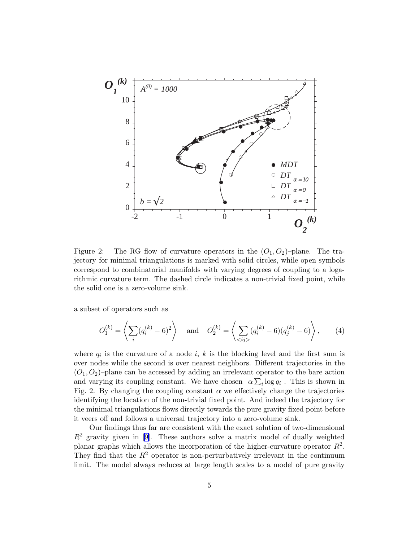

Figure 2: The RG flow of curvature operators in the  $(O_1, O_2)$ -plane. The trajectory for minimal triangulations is marked with solid circles, while open symbols correspond to combinatorial manifolds with varying degrees of coupling to a logarithmic curvature term. The dashed circle indicates a non-trivial fixed point, while the solid one is a zero-volume sink.

a subset of operators such as

$$
O_1^{(k)} = \left\langle \sum_i (q_i^{(k)} - 6)^2 \right\rangle \quad \text{and} \quad O_2^{(k)} = \left\langle \sum_{\langle i j \rangle} (q_i^{(k)} - 6)(q_j^{(k)} - 6) \right\rangle, \tag{4}
$$

where  $q_i$  is the curvature of a node i, k is the blocking level and the first sum is over nodes while the second is over nearest neighbors. Different trajectories in the  $(O_1, O_2)$ –plane can be accessed by adding an irrelevant operator to the bare action and varying its coupling constant. We have chosen  $\alpha \sum_i \log q_i$ . This is shown in Fig. 2. By changing the coupling constant  $\alpha$  we effectively change the trajectories identifying the location of the non-trivial fixed point. And indeed the trajectory for the minimal triangulations flows directly towards the pure gravity fixed point before it veers off and follows a universal trajectory into a zero-volume sink.

Our findings thus far are consistent with the exact solution of two-dimensional  $R<sup>2</sup>$  gravity given in [\[9\]](#page-9-0). These authors solve a matrix model of dually weighted planar graphs which allows the incorporation of the higher-curvature operator  $R^2$ . They find that the  $R^2$  operator is non-perturbatively irrelevant in the continuum limit. The model always reduces at large length scales to a model of pure gravity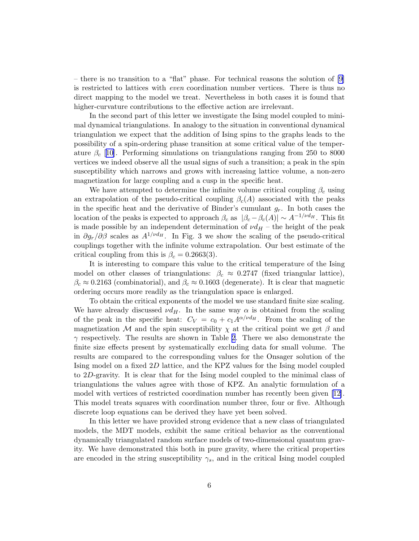– there is no transition to a "flat" phase. For technical reasons the solution of [\[9](#page-9-0)] is restricted to lattices with even coordination number vertices. There is thus no direct mapping to the model we treat. Nevertheless in both cases it is found that higher-curvature contributions to the effective action are irrelevant.

In the second part of this letter we investigate the Ising model coupled to minimal dynamical triangulations. In analogy to the situation in conventional dynamical triangulation we expect that the addition of Ising spins to the graphs leads to the possibility of a spin-ordering phase transition at some critical value of the temperature  $\beta_c$  [[10\]](#page-9-0). Performing simulations on triangulations ranging from 250 to 8000 vertices we indeed observe all the usual signs of such a transition; a peak in the spin susceptibility which narrows and grows with increasing lattice volume, a non-zero magnetization for large coupling and a cusp in the specific heat.

We have attempted to determine the infinite volume critical coupling  $\beta_c$  using an extrapolation of the pseudo-critical coupling  $\beta_c(A)$  associated with the peaks in the specific heat and the derivative of Binder's cumulant  $g_r$ . In both cases the location of the peaks is expected to approach  $\beta_c$  as  $|\beta_c - \beta_c(A)| \sim A^{-1/\nu d_H}$ . This fit is made possible by an independent determination of  $\nu d_H$  – the height of the peak in  $\partial g_r/\partial \beta$  scales as  $A^{1/\nu d_H}$ . In Fig. 3 we show the scaling of the pseudo-critical couplings together with the infinite volume extrapolation. Our best estimate of the critical coupling from this is  $\beta_c = 0.2663(3)$ .

It is interesting to compare this value to the critical temperature of the Ising model on other classes of triangulations:  $\beta_c \approx 0.2747$  (fixed triangular lattice),  $\beta_c \approx 0.2163$  (combinatorial), and  $\beta_c \approx 0.1603$  (degenerate). It is clear that magnetic ordering occurs more readily as the triangulation space is enlarged.

To obtain the critical exponents of the model we use standard finite size scaling. We have already discussed  $\nu d_H$ . In the same way  $\alpha$  is obtained from the scaling of the peak in the specific heat:  $C_V = c_0 + c_1 A^{\alpha/\nu d_H}$ . From the scaling of the magnetization M and the spin susceptibility  $\chi$  at the critical point we get  $\beta$  and  $\gamma$  respectively. The results are shown in Table [2](#page-7-0). There we also demonstrate the finite size effects present by systematically excluding data for small volume. The results are compared to the corresponding values for the Onsager solution of the Ising model on a fixed 2D lattice, and the KPZ values for the Ising model coupled to 2D-gravity. It is clear that for the Ising model coupled to the minimal class of triangulations the values agree with those of KPZ. An analytic formulation of a model with vertices of restricted coordination number has recently been given[[12\]](#page-9-0). This model treats squares with coordination number three, four or five. Although discrete loop equations can be derived they have yet been solved.

In this letter we have provided strong evidence that a new class of triangulated models, the MDT models, exhibit the same critical behavior as the conventional dynamically triangulated random surface models of two-dimensional quantum gravity. We have demonstrated this both in pure gravity, where the critical properties are encoded in the string susceptibility  $\gamma_s$ , and in the critical Ising model coupled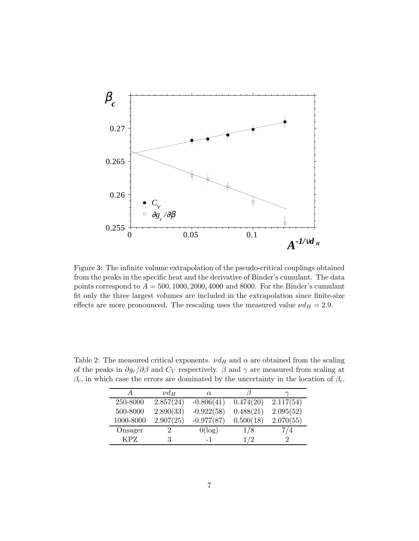<span id="page-7-0"></span>

Figure 3: The infinite volume extrapolation of the pseudo-critical couplings obtained from the peaks in the specific heat and the derivative of Binder's cumulant. The data points correspond to  $A = 500, 1000, 2000, 4000$  and 8000. For the Binder's cumulant fit only the three largest volumes are included in the extrapolation since finite-size effects are more pronounced. The rescaling uses the measured value  $\nu d_H = 2.9$ .

|            | $\nu d_H$ | $\alpha$     |           |                             |
|------------|-----------|--------------|-----------|-----------------------------|
| 250-8000   | 2.857(24) | $-0.806(41)$ | 0.474(20) | 2.117(54)                   |
| 500-8000   | 2.890(33) | $-0.922(58)$ | 0.488(21) | 2.095(52)                   |
| 1000-8000  | 2.907(25) | $-0.977(87)$ | 0.500(18) | 2.070(55)                   |
| Onsager    |           | $0(\log)$    | 1/8       | 7/4                         |
| <b>KPZ</b> |           | $-1$         | 1/2       | $\mathcal{D}_{\mathcal{L}}$ |

Table 2: The measured critical exponents.  $\nu d_H$  and  $\alpha$  are obtained from the scaling of the peaks in  $\partial g_r/\partial \beta$  and  $C_V$  respectively.  $\beta$  and  $\gamma$  are measured from scaling at  $\beta_c$ , in which case the errors are dominated by the uncertainty in the location of  $\beta_c$ .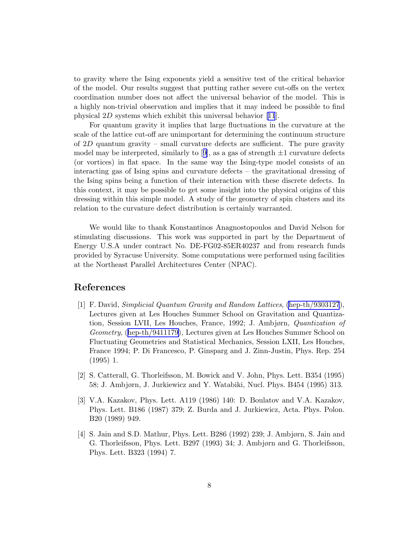<span id="page-8-0"></span>to gravity where the Ising exponents yield a sensitive test of the critical behavior of the model. Our results suggest that putting rather severe cut-offs on the vertex coordination number does not affect the universal behavior of the model. This is a highly non-trivial observation and implies that it may indeed be possible to find physical 2D systems which exhibit this universal behavior[[11](#page-9-0)].

For quantum gravity it implies that large fluctuations in the curvature at the scale of the lattice cut-off are unimportant for determining the continuum structure of 2D quantum gravity – small curvature defects are sufficient. The pure gravity modelmay be interpreted, similarly to [[9\]](#page-9-0), as a gas of strength  $\pm 1$  curvature defects (or vortices) in flat space. In the same way the Ising-type model consists of an interacting gas of Ising spins and curvature defects – the gravitational dressing of the Ising spins being a function of their interaction with these discrete defects. In this context, it may be possible to get some insight into the physical origins of this dressing within this simple model. A study of the geometry of spin clusters and its relation to the curvature defect distribution is certainly warranted.

We would like to thank Konstantinos Anagnostopoulos and David Nelson for stimulating discussions. This work was supported in part by the Department of Energy U.S.A under contract No. DE-FG02-85ER40237 and from research funds provided by Syracuse University. Some computations were performed using facilities at the Northeast Parallel Architectures Center (NPAC).

#### References

- [1] F. David, Simplicial Quantum Gravity and Random Lattices, [\(hep-th/9303127](http://arXiv.org/abs/hep-th/9303127)), Lectures given at Les Houches Summer School on Gravitation and Quantization, Session LVII, Les Houches, France, 1992; J. Ambjørn, Quantization of Geometry, ([hep-th/9411179\)](http://arXiv.org/abs/hep-th/9411179), Lectures given at Les Houches Summer School on Fluctuating Geometries and Statistical Mechanics, Session LXII, Les Houches, France 1994; P. Di Francesco, P. Ginsparg and J. Zinn-Justin, Phys. Rep. 254 (1995) 1.
- [2] S. Catterall, G. Thorleifsson, M. Bowick and V. John, Phys. Lett. B354 (1995) 58; J. Ambjørn, J. Jurkiewicz and Y. Watabiki, Nucl. Phys. B454 (1995) 313.
- [3] V.A. Kazakov, Phys. Lett. A119 (1986) 140: D. Boulatov and V.A. Kazakov, Phys. Lett. B186 (1987) 379; Z. Burda and J. Jurkiewicz, Acta. Phys. Polon. B20 (1989) 949.
- [4] S. Jain and S.D. Mathur, Phys. Lett. B286 (1992) 239; J. Ambjørn, S. Jain and G. Thorleifsson, Phys. Lett. B297 (1993) 34; J. Ambjørn and G. Thorleifsson, Phys. Lett. B323 (1994) 7.